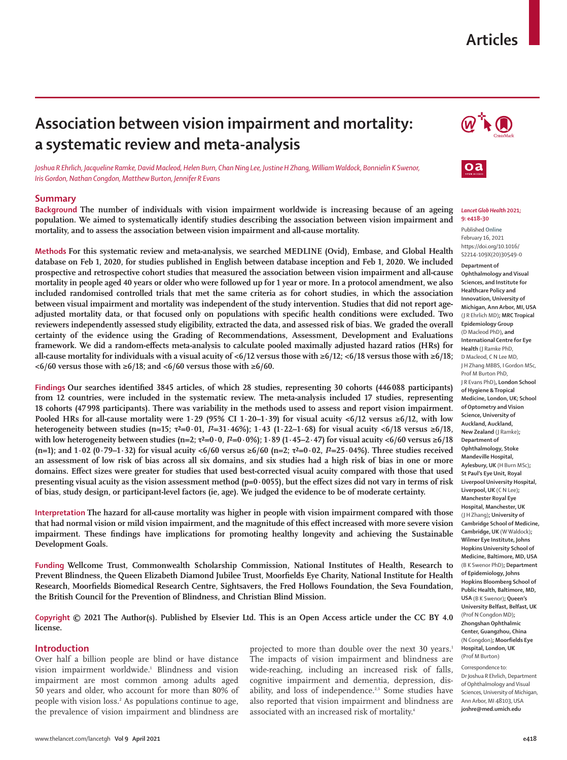# **Articles**

# **Association between vision impairment and mortality: a systematic review and meta-analysis**

*Joshua R Ehrlich, Jacqueline Ramke, David Macleod, Helen Burn, Chan Ning Lee, Justine H Zhang, William Waldock, Bonnielin K Swenor, Iris Gordon, Nathan Congdon, Matthew Burton, Jennifer R Evans*

## **Summary**

**Background The number of individuals with vision impairment worldwide is increasing because of an ageing population. We aimed to systematically identify studies describing the association between vision impairment and mortality, and to assess the association between vision impairment and all-cause mortality.**

**Methods For this systematic review and meta-analysis, we searched MEDLINE (Ovid), Embase, and Global Health database on Feb 1, 2020, for studies published in English between database inception and Feb 1, 2020. We included prospective and retrospective cohort studies that measured the association between vision impairment and all-cause mortality in people aged 40 years or older who were followed up for 1 year or more. In a protocol amendment, we also included randomised controlled trials that met the same criteria as for cohort studies, in which the association between visual impairment and mortality was independent of the study intervention. Studies that did not report ageadjusted mortality data, or that focused only on populations with specific health conditions were excluded. Two reviewers independently assessed study eligibility, extracted the data, and assessed risk of bias. We graded the overall certainty of the evidence using the Grading of Recommendations, Assessment, Development and Evaluations framework. We did a random-effects meta-analysis to calculate pooled maximally adjusted hazard ratios (HRs) for**  all-cause mortality for individuals with a visual acuity of <6/12 versus those with ≥6/12; <6/18 versus those with ≥6/18; **<6/60 versus those with ≥6/18; and <6/60 versus those with ≥6/60.**

**Findings Our searches identified 3845 articles, of which 28 studies, representing 30 cohorts (446088 participants) from 12 countries, were included in the systematic review. The meta-analysis included 17 studies, representing 18 cohorts (47998 participants). There was variability in the methods used to assess and report vision impairment. Pooled HRs for all-cause mortality were 1·29 (95% CI 1·20–1·39) for visual acuity <6/12 versus ≥6/12, with low heterogeneity between studies (n=15; τ²=0·01,** *I***²=31·46%); 1·43 (1·22–1·68) for visual acuity <6/18 versus ≥6/18,**  with low heterogeneity between studies (n=2;  $\tau^2 = 0.0$ ,  $P = 0.0\%$ ); 1·89 (1·45–2·47) for visual acuity <6/60 versus ≥6/18 **(n=1); and 1·02 (0·79–1·32) for visual acuity <6/60 versus ≥6/60 (n=2; τ²=0·02,** *I***²=25·04%). Three studies received an assessment of low risk of bias across all six domains, and six studies had a high risk of bias in one or more domains. Effect sizes were greater for studies that used best-corrected visual acuity compared with those that used presenting visual acuity as the vision assessment method (p=0·0055), but the effect sizes did not vary in terms of risk of bias, study design, or participant-level factors (ie, age). We judged the evidence to be of moderate certainty.**

**Interpretation The hazard for all-cause mortality was higher in people with vision impairment compared with those that had normal vision or mild vision impairment, and the magnitude of this effect increased with more severe vision impairment. These findings have implications for promoting healthy longevity and achieving the Sustainable Development Goals.**

**Funding Wellcome Trust, Commonwealth Scholarship Commission, National Institutes of Health, Research to Prevent Blindness, the Queen Elizabeth Diamond Jubilee Trust, Moorfields Eye Charity, National Institute for Health Research, Moorfields Biomedical Research Centre, Sightsavers, the Fred Hollows Foundation, the Seva Foundation, the British Council for the Prevention of Blindness, and Christian Blind Mission.**

**Copyright © 2021 The Author(s). Published by Elsevier Ltd. This is an Open Access article under the CC BY 4.0 license.** 

### **Introduction**

Over half a billion people are blind or have distance vision impairment worldwide.<sup>1</sup> Blindness and vision impairment are most common among adults aged 50 years and older, who account for more than 80% of people with vision loss.<sup>2</sup> As populations continue to age, the prevalence of vision impairment and blindness are projected to more than double over the next 30 years.<sup>1</sup> The impacts of vision impairment and blindness are wide-reaching, including an increased risk of falls, cognitive impairment and dementia, depression, disability, and loss of independence.<sup>2,3</sup> Some studies have also reported that vision impairment and blindness are associated with an increased risk of mortality.4





#### *Lancet Glob Health* **2021; 9: e418–30**

Published **Online** February 16, 2021 https://doi.org/10.1016/ S2214-109X(20)30549-0

**Department of** 

**Ophthalmology and Visual Sciences, and Institute for Healthcare Policy and Innovation, University of Michigan, Ann Arbor, MI, USA** (J R Ehrlich MD)**; MRC Tropical Epidemiology Group**  (D Macleod PhD)**, and International Centre for Eye Health** (J Ramke PhD, D Macleod, C N Lee MD, J H Zhang MBBS, I Gordon MSc, Prof M Burton PhD, J R Evans PhD)**, London School of Hygiene & Tropical Medicine, London, UK; School of Optometry and Vision Science, University of Auckland, Auckland, New Zealand** (J Ramke)**; Department of Ophthalmology, Stoke Mandeville Hospital, Aylesbury, UK** (H Burn MSc)**; St Paul's Eye Unit, Royal Liverpool University Hospital, Liverpool, UK** (C N Lee)**; Manchester Royal Eye Hospital, Manchester, UK** (J H Zhang)**; University of Cambridge School of Medicine, Cambridge, UK** (W Waldock)**; Wilmer Eye Institute, Johns Hopkins University School of Medicine, Baltimore, MD, USA** (B K Swenor PhD)**; Department of Epidemiology, Johns Hopkins Bloomberg School of Public Health, Baltimore, MD, USA** (B K Swenor)**; Queen's University Belfast, Belfast, UK** (Prof N Congdon MD)**; Zhongshan Ophthalmic Center, Guangzhou, China** (N Congdon)**; Moorfields Eye Hospital, London, UK** (Prof M Burton)

Correspondence to: Dr Joshua R Ehrlich, Department of Ophthalmology and Visual Sciences, University of Michigan Ann Arbor, MI 48103, USA **joshre@med.umich.edu**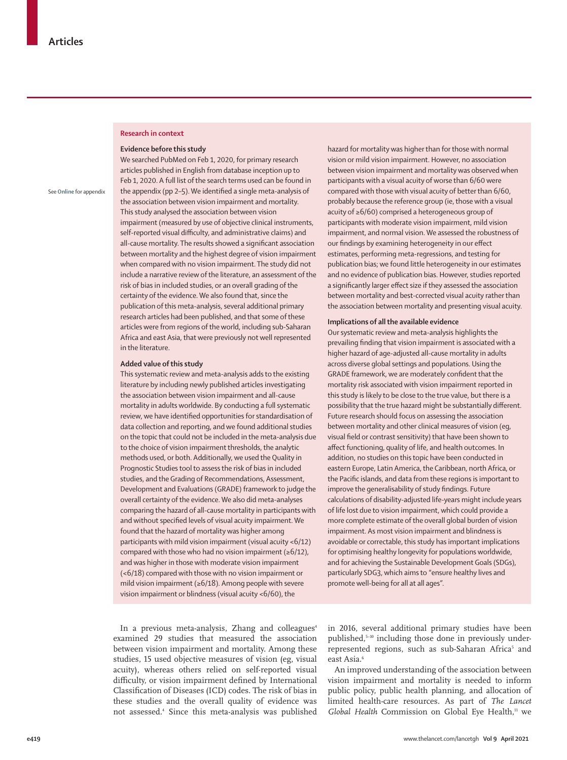#### **Research in context**

#### **Evidence before this study**

See **Online** for appendix

We searched PubMed on Feb 1, 2020, for primary research articles published in English from database inception up to Feb 1, 2020. A full list of the search terms used can be found in the appendix (pp 2–5). We identified a single meta-analysis of the association between vision impairment and mortality. This study analysed the association between vision impairment (measured by use of objective clinical instruments, self-reported visual difficulty, and administrative claims) and all-cause mortality. The results showed a significant association between mortality and the highest degree of vision impairment when compared with no vision impairment. The study did not include a narrative review of the literature, an assessment of the risk of bias in included studies, or an overall grading of the certainty of the evidence. We also found that, since the publication of this meta-analysis, several additional primary research articles had been published, and that some of these articles were from regions of the world, including sub-Saharan Africa and east Asia, that were previously not well represented in the literature.

### **Added value of this study**

This systematic review and meta-analysis adds to the existing literature by including newly published articles investigating the association between vision impairment and all-cause mortality in adults worldwide. By conducting a full systematic review, we have identified opportunities for standardisation of data collection and reporting, and we found additional studies on the topic that could not be included in the meta-analysis due to the choice of vision impairment thresholds, the analytic methods used, or both. Additionally, we used the Quality in Prognostic Studies tool to assess the risk of bias in included studies, and the Grading of Recommendations, Assessment, Development and Evaluations (GRADE) framework to judge the overall certainty of the evidence. We also did meta-analyses comparing the hazard of all-cause mortality in participants with and without specified levels of visual acuity impairment. We found that the hazard of mortality was higher among participants with mild vision impairment (visual acuity <6/12) compared with those who had no vision impairment ( $\geq 6/12$ ), and was higher in those with moderate vision impairment (<6/18) compared with those with no vision impairment or mild vision impairment (≥6/18). Among people with severe vision impairment or blindness (visual acuity <6/60), the

hazard for mortality was higher than for those with normal vision or mild vision impairment. However, no association between vision impairment and mortality was observed when participants with a visual acuity of worse than 6/60 were compared with those with visual acuity of better than 6/60, probably because the reference group (ie, those with a visual acuity of ≥6/60) comprised a heterogeneous group of participants with moderate vision impairment, mild vision impairment, and normal vision. We assessed the robustness of our findings by examining heterogeneity in our effect estimates, performing meta-regressions, and testing for publication bias; we found little heterogeneity in our estimates and no evidence of publication bias. However, studies reported a significantly larger effect size if they assessed the association between mortality and best-corrected visual acuity rather than the association between mortality and presenting visual acuity.

#### **Implications of all the available evidence**

Our systematic review and meta-analysis highlights the prevailing finding that vision impairment is associated with a higher hazard of age-adjusted all-cause mortality in adults across diverse global settings and populations. Using the GRADE framework, we are moderately confident that the mortality risk associated with vision impairment reported in this study is likely to be close to the true value, but there is a possibility that the true hazard might be substantially different. Future research should focus on assessing the association between mortality and other clinical measures of vision (eg, visual field or contrast sensitivity) that have been shown to affect functioning, quality of life, and health outcomes. In addition, no studies on this topic have been conducted in eastern Europe, Latin America, the Caribbean, north Africa, or the Pacific islands, and data from these regions is important to improve the generalisability of study findings. Future calculations of disability-adjusted life-years might include years of life lost due to vision impairment, which could provide a more complete estimate of the overall global burden of vision impairment. As most vision impairment and blindness is avoidable or correctable, this study has important implications for optimising healthy longevity for populations worldwide, and for achieving the Sustainable Development Goals (SDGs), particularly SDG3, which aims to "ensure healthy lives and promote well-being for all at all ages".

In a previous meta-analysis, Zhang and colleagues<sup>4</sup> examined 29 studies that measured the association between vision impairment and mortality. Among these studies, 15 used objective measures of vision (eg, visual acuity), whereas others relied on self-reported visual difficulty, or vision impairment defined by International Classification of Diseases (ICD) codes. The risk of bias in these studies and the overall quality of evidence was not assessed.4 Since this meta-analysis was published in 2016, several additional primary studies have been published,5–10 including those done in previously underrepresented regions, such as sub-Saharan Africa<sup>5</sup> and east Asia.6

An improved understanding of the association between vision impairment and mortality is needed to inform public policy, public health planning, and allocation of limited health-care resources. As part of *The Lancet*  Global Health Commission on Global Eye Health,<sup>11</sup> we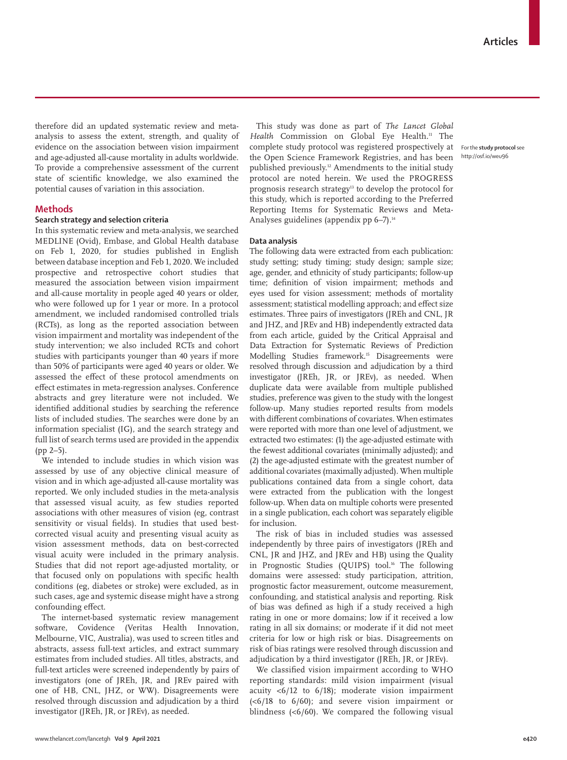therefore did an updated systematic review and metaanalysis to assess the extent, strength, and quality of evidence on the association between vision impairment and age-adjusted all-cause mortality in adults worldwide. To provide a comprehensive assessment of the current state of scientific knowledge, we also examined the potential causes of variation in this association.

## **Methods**

# **Search strategy and selection criteria**

In this systematic review and meta-analysis, we searched MEDLINE (Ovid), Embase, and Global Health database on Feb 1, 2020, for studies published in English between database inception and Feb 1, 2020. We included prospective and retrospective cohort studies that measured the association between vision impairment and all-cause mortality in people aged 40 years or older, who were followed up for 1 year or more. In a protocol amendment, we included randomised controlled trials (RCTs), as long as the reported association between vision impairment and mortality was independent of the study intervention; we also included RCTs and cohort studies with participants younger than 40 years if more than 50% of participants were aged 40 years or older. We assessed the effect of these protocol amendments on effect estimates in meta-regression analyses. Conference abstracts and grey literature were not included. We identified additional studies by searching the reference lists of included studies. The searches were done by an information specialist (IG), and the search strategy and full list of search terms used are provided in the appendix (pp 2–5).

We intended to include studies in which vision was assessed by use of any objective clinical measure of vision and in which age-adjusted all-cause mortality was reported. We only included studies in the meta-analysis that assessed visual acuity, as few studies reported associations with other measures of vision (eg, contrast sensitivity or visual fields). In studies that used bestcorrected visual acuity and presenting visual acuity as vision assessment methods, data on best-corrected visual acuity were included in the primary analysis. Studies that did not report age-adjusted mortality, or that focused only on populations with specific health conditions (eg, diabetes or stroke) were excluded, as in such cases, age and systemic disease might have a strong confounding effect.

The internet-based systematic review management software, Covidence (Veritas Health Innovation, Melbourne, VIC, Australia), was used to screen titles and abstracts, assess full-text articles, and extract summary estimates from included studies. All titles, abstracts, and full-text articles were screened independently by pairs of investigators (one of JREh, JR, and JREv paired with one of HB, CNL, JHZ, or WW). Disagreements were resolved through discussion and adjudication by a third investigator (JREh, JR, or JREv), as needed.

This study was done as part of *The Lancet Global Health* Commission on Global Eye Health.11 The complete study [protocol](http://osf.io/weu96) was registered prospectively at the Open Science Framework Registries, and has been published previously.<sup>12</sup> Amendments to the initial study protocol are noted herein. We used the PROGRESS prognosis research strategy<sup>13</sup> to develop the protocol for this study, which is reported according to the Preferred Reporting Items for Systematic Reviews and Meta-Analyses guidelines (appendix pp  $6-7$ ).<sup>14</sup>

#### **Data analysis**

The following data were extracted from each publication: study setting; study timing; study design; sample size; age, gender, and ethnicity of study participants; follow-up time; definition of vision impairment; methods and eyes used for vision assessment; methods of mortality assessment; statistical modelling approach; and effect size estimates. Three pairs of investigators (JREh and CNL, JR and JHZ, and JREv and HB) independently extracted data from each article, guided by the Critical Appraisal and Data Extraction for Systematic Reviews of Prediction Modelling Studies framework.<sup>15</sup> Disagreements were resolved through discussion and adjudication by a third investigator (JREh, JR, or JREv), as needed. When duplicate data were available from multiple published studies, preference was given to the study with the longest follow-up. Many studies reported results from models with different combinations of covariates. When estimates were reported with more than one level of adjustment, we extracted two estimates: (1) the age-adjusted estimate with the fewest additional covariates (minimally adjusted); and (2) the age-adjusted estimate with the greatest number of additional covariates (maximally adjusted). When multiple publications contained data from a single cohort, data were extracted from the publication with the longest follow-up. When data on multiple cohorts were presented in a single publication, each cohort was separately eligible for inclusion.

The risk of bias in included studies was assessed independently by three pairs of investigators (JREh and CNL, JR and JHZ, and JREv and HB) using the Quality in Prognostic Studies (OUIPS) tool.<sup>16</sup> The following domains were assessed: study participation, attrition, prognostic factor measurement, outcome measurement, confounding, and statistical analysis and reporting. Risk of bias was defined as high if a study received a high rating in one or more domains; low if it received a low rating in all six domains; or moderate if it did not meet criteria for low or high risk or bias. Disagreements on risk of bias ratings were resolved through discussion and adjudication by a third investigator (JREh, JR, or JREv).

We classified vision impairment according to WHO reporting standards: mild vision impairment (visual acuity <6/12 to 6/18); moderate vision impairment (<6/18 to 6/60); and severe vision impairment or blindness (<6/60). We compared the following visual

For the **study protocol** see http://osf.io/weu96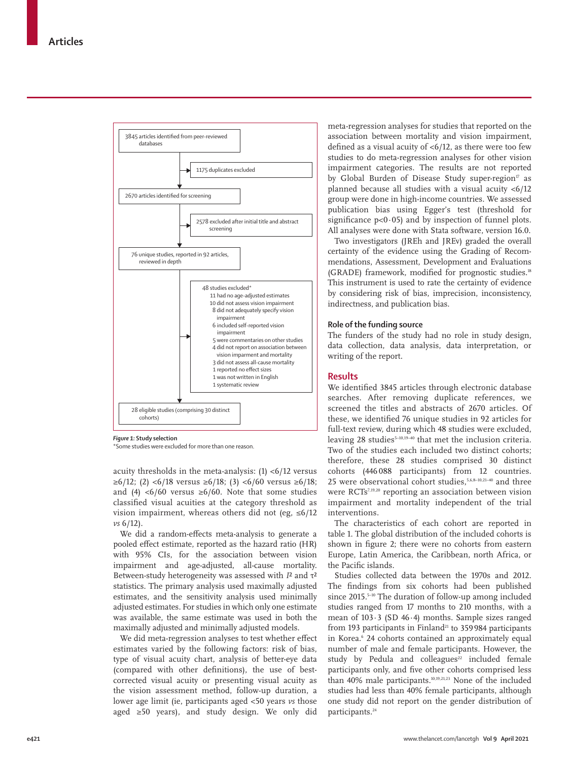

*Figure 1:* **Study selection**

\*Some studies were excluded for more than one reason.

acuity thresholds in the meta-analysis:  $(1)$  <6/12 versus  $\geq 6/12$ ; (2) <6/18 versus  $\geq 6/18$ ; (3) <6/60 versus ≥6/18; and (4) <6/60 versus  $\geq 6/60$ . Note that some studies classified visual acuities at the category threshold as vision impairment, whereas others did not (eg,  $\leq 6/12$ *vs* 6/12).

We did a random-effects meta-analysis to generate a pooled effect estimate, reported as the hazard ratio (HR) with 95% CIs, for the association between vision impairment and age-adjusted, all-cause mortality. Between-study heterogeneity was assessed with *I*² and τ² statistics. The primary analysis used maximally adjusted estimates, and the sensitivity analysis used minimally adjusted estimates. For studies in which only one estimate was available, the same estimate was used in both the maximally adjusted and minimally adjusted models.

We did meta-regression analyses to test whether effect estimates varied by the following factors: risk of bias, type of visual acuity chart, analysis of better-eye data (compared with other definitions), the use of bestcorrected visual acuity or presenting visual acuity as the vision assessment method, follow-up duration, a lower age limit (ie, participants aged <50 years *vs* those aged ≥50 years), and study design. We only did meta-regression analyses for studies that reported on the association between mortality and vision impairment, defined as a visual acuity of <6/12, as there were too few studies to do meta-regression analyses for other vision impairment categories. The results are not reported by Global Burden of Disease Study super-region<sup>17</sup> as planned because all studies with a visual acuity <6/12 group were done in high-income countries. We assessed publication bias using Egger's test (threshold for significance  $p<0.05$  and by inspection of funnel plots. All analyses were done with Stata software, version 16.0.

Two investigators (JREh and JREv) graded the overall certainty of the evidence using the Grading of Recommendations, Assessment, Development and Evaluations (GRADE) framework, modified for prognostic studies.18 This instrument is used to rate the certainty of evidence by considering risk of bias, imprecision, inconsistency, indirectness, and publication bias.

## **Role of the funding source**

The funders of the study had no role in study design, data collection, data analysis, data interpretation, or writing of the report.

#### **Results**

We identified 3845 articles through electronic database searches. After removing duplicate references, we screened the titles and abstracts of 2670 articles. Of these, we identified 76 unique studies in 92 articles for full-text review, during which 48 studies were excluded, leaving 28 studies<sup>5-10,19-40</sup> that met the inclusion criteria. Two of the studies each included two distinct cohorts; therefore, these 28 studies comprised 30 distinct cohorts (446 088 participants) from 12 countries. 25 were observational cohort studies, $5,6,8-10,21-40$  and three were RCTs7,19,20 reporting an association between vision impairment and mortality independent of the trial interventions.

The characteristics of each cohort are reported in table 1. The global distribution of the included cohorts is shown in figure 2; there were no cohorts from eastern Europe, Latin America, the Caribbean, north Africa, or the Pacific islands.

Studies collected data between the 1970s and 2012. The findings from six cohorts had been published since 2015.<sup>5-10</sup> The duration of follow-up among included studies ranged from 17 months to 210 months, with a mean of 103·3 (SD 46·4) months. Sample sizes ranged from 193 participants in Finland<sup>21</sup> to 359984 participants in Korea.<sup>6</sup> 24 cohorts contained an approximately equal number of male and female participants. However, the study by Pedula and colleagues<sup>22</sup> included female participants only, and five other cohorts comprised less than 40% male participants.10,19,21,23 None of the included studies had less than 40% female participants, although one study did not report on the gender distribution of participants.<sup>24</sup>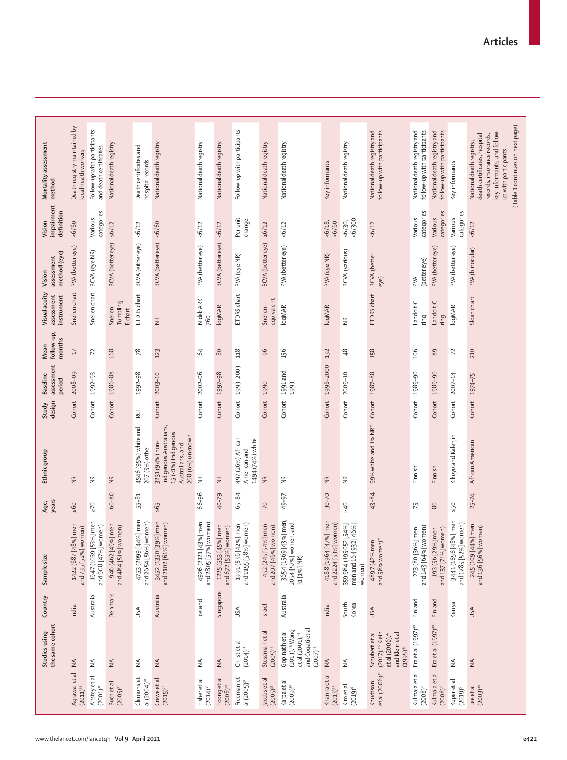|                                        | the same cohort<br>Studies using                                                                                    | Country        | Sample size                                                   | years<br>Age,   | Ethnic group                                                                                              | Study<br>design | assessment<br><b>Baseline</b><br>period | follow-up,<br>months<br>Mean | Visual acuity<br>assessment<br>instrument | method (eye)<br>assessment<br>Vision | impairment<br>definition<br>Vision | Mortality assessment<br>method                                                                                                                                                     |
|----------------------------------------|---------------------------------------------------------------------------------------------------------------------|----------------|---------------------------------------------------------------|-----------------|-----------------------------------------------------------------------------------------------------------|-----------------|-----------------------------------------|------------------------------|-------------------------------------------|--------------------------------------|------------------------------------|------------------------------------------------------------------------------------------------------------------------------------------------------------------------------------|
| Agrawal et al<br>$(2011)^{34}$         | $\stackrel{\triangle}{\geq}$                                                                                        | India          | 1422 (687 [48%] men<br>and 735 [52%] women)                   | $-60$           | $\widetilde{\Xi}$                                                                                         | Cohort          | 2008-09                                 | $\overline{17}$              | Snellen chart                             | PVA (better eye)                     | 6/60                               | Death registry maintained by<br>local health workers                                                                                                                               |
| Anstey et al<br>$(2001)^{31}$          | $\stackrel{\leq}{\geq}$                                                                                             | Australia      | 1947 (1039 [53%] men<br>and 908 [47%] women)                  | $\geq 70$       | $\widetilde{\Xi}$                                                                                         | Cohort          | 1992-93                                 | 72                           | Snellen chart                             | BCVA (eye NR)                        | categories<br>Various              | Follow-up with participants<br>and death certificates                                                                                                                              |
| Buch et al<br>$(2005)^{38}$            | $\stackrel{\triangle}{\geq}$                                                                                        | Denmark        | 946 (462 [49%] men<br>and 484 [51%] women)                    | 60-80           | $\widetilde{\Xi}$                                                                                         | Cohort          | 1986-88                                 | 168                          | Tumbling<br>Snellen<br>E chart            | <b>BCVA</b> (better eye)             | 56/12                              | National death registry                                                                                                                                                            |
| Clemons et<br>al $(2004)^{20}$         | $\stackrel{\triangle}{\geq}$                                                                                        | USA            | 4753 (2099 [44%] men<br>and 2654 [56%] women)                 | $55 - 81$       | 4546 (95%) white and<br>207 (5%) other                                                                    | RCT             | 1992-98                                 | 78                           | ETDRS chart                               | BCVA (either eye)                    | 56/12                              | Death certificates and<br>hospital records                                                                                                                                         |
| Crewe et al<br>$(2015)^{2}$            | $\stackrel{\triangle}{\geq}$                                                                                        | Australia      | 3452 (1350 [39%] men<br>and 2102 [61%] women)                 | 59 <sup>5</sup> | Indigenous Australians,<br>15 (<1%) Indigenous<br>208 (6%) unknown<br>3231 (94%) non-<br>Australians, and |                 | Cohort 2003-10                          | 123                          | $\frac{\alpha}{\alpha}$                   | <b>BCVA</b> (better eye)             | 50/9                               | National death registry                                                                                                                                                            |
| Fisher et al<br>$(2014)^{38}$          | $\stackrel{\triangle}{\geq}$                                                                                        | Iceland        | 4926 (2121 [43%] men<br>and 2805 [57%] women)                 | 66-96           | $\frac{\alpha}{2}$                                                                                        | Cohort          | 2002-06                                 | 2                            | Nidek ARK<br>760                          | PVA (better eye)                     | 56/12                              | National death registry                                                                                                                                                            |
| Foongetal<br>$(2008)^{29}$             | $\stackrel{\triangle}{\geq}$                                                                                        | Singapore      | 1225 (553 [45%] men<br>and 672 [55%] women)                   | 40-79           | $\widetilde{\Xi}$                                                                                         | Cohort          | 1997-98                                 | $80\,$                       | <b>logMAR</b>                             | <b>BCVA</b> (better eye)             | 56/12                              | National death registry                                                                                                                                                            |
| Freeman et<br>al $(2005)^{37}$         | Christ et al<br>$(2014)^{41}$                                                                                       | USA            | and 1155 [58%] women)<br>1991 (836 [42%] men                  | 65-84           | 497 (26%) African<br>1494 (74%) white<br>American and                                                     | Cohort          | 1993-2003                               | 118                          | ETDRS chart                               | PVA (eye NR)                         | Per unit<br>change                 | Follow-up with participants                                                                                                                                                        |
| Jacobs et al<br>$(2005)^{33}$          | Stessman et al<br>$(2005)^{42}$                                                                                     | <b>Israel</b>  | 452 (245 [54%] men<br>and 207 [46%] women)                    | $\overline{C}$  | $\widetilde{\Xi}$                                                                                         | Cohort 1990     |                                         | 96                           | equivalent<br>Snellen                     | <b>BCVA</b> (better eye)             | 56/12                              | National death registry                                                                                                                                                            |
| Karpaetal<br>$(2009)^{30}$             | and Cugati et al<br>$(2013),$ <sup>43</sup> Wang<br>Gopinath et al<br>etal(2001), <sup>44</sup><br>$(2007)^{45}$    | Australia      | 3654 (1569 [43%] men,<br>2054 [57%] women, and<br>31 [1%] NR) | 49-97           | $\widetilde{\Xi}$                                                                                         | Cohort          | 1991 and<br>1993                        | 156                          | logMAR                                    | PVA (better eye)                     | 56/12                              | National death registry                                                                                                                                                            |
| Khanna et al<br>$(2013)^{27}$          | $\leq$                                                                                                              | India          | 4188 (1964 [47%] men<br>and 2224 [53%] women)                 | $30 - 70$       | $\widetilde{\Xi}$                                                                                         | Cohort          | 1996-2000                               | 132                          | logMAR                                    | PVA (eye NR)                         | $56/18$ ,<br>$-6/60$               | Key informants                                                                                                                                                                     |
| Kim et al<br>$(2019)^6$                | $\stackrel{\triangle}{\geq}$                                                                                        | South<br>Korea | 359 984 (195 052 [54%]<br>men and 164 932 [46%]<br>women)     | 240             | $\frac{\alpha}{2}$                                                                                        | Cohort          | 2009-10                                 | $\frac{8}{3}$                | $\frac{\alpha}{2}$                        | <b>BCVA</b> (various)                | 500<br>56/30,                      | National death registry                                                                                                                                                            |
| et al (2006) <sup>36</sup><br>Knudtson | (2017), <sup>46</sup> Klein<br>and Klein et al<br>et al $(2006)$ , <sup>47</sup><br>Schubert et al<br>$(1995)^{48}$ | USA            | $4897 (42%$ men<br>and 58% women)*                            | 43-84           | 99% white and 1% NR* Cohort 1987-88                                                                       |                 |                                         | 158                          | ETDRS chart                               | <b>BCVA</b> (better<br>eye)          | 56/12                              | National death registry and<br>follow-up with participants                                                                                                                         |
| Kulmala et al<br>$(2008)^2$            | Eraetal (1997) <sup>49</sup>                                                                                        | Finland        | and 143 [64%] women)<br>223 (80 [36%] men                     | $\overline{75}$ | Finnish                                                                                                   | Cohort          | 1989-90                                 | 106                          | Landolt C<br>ring                         | (better eye)<br>РVА                  | categories<br>Various              | National death registry and<br>follow-up with participants                                                                                                                         |
| Kulmala et al<br>$(2008)^{21}$         | Eraetal (1997) <sup>49</sup>                                                                                        | Finland        | and 137 [71%] women)<br>193 (56 [29%] men                     | $80$            | Finnish                                                                                                   | Cohort          | 1989-90                                 | 89                           | Landolt C<br>ring                         | PVA (better eye)                     | categories<br>Various              | National death registry and<br>follow-up with participants                                                                                                                         |
| Kuperetal<br>$(2019)^5$                | $\frac{4}{2}$                                                                                                       | Kenya          | 3441 (1656 [48%] men<br>and 1785 [52%] women)                 | $>50$           | Kikuyu and Kalenjin                                                                                       | Cohort          | 2007-14                                 | 72                           | logMAR                                    | PVA (better eye)                     | categories<br>Various              | Key informants                                                                                                                                                                     |
| $(2003)^{40}$<br>Lee et al             | $\leq$                                                                                                              | USA            | 245 (109 [44%] men<br>and 136 [56%] women)                    | $25 - 74$       | African American                                                                                          |                 | Cohort 1974-75                          | 210                          | Sloan chart                               | PVA (binocular)                      | 56/12                              | (Table 1 continues on next page)<br>key informants, and follow-<br>death certificates, hospital<br>records, insurance records,<br>National death registry,<br>up with participants |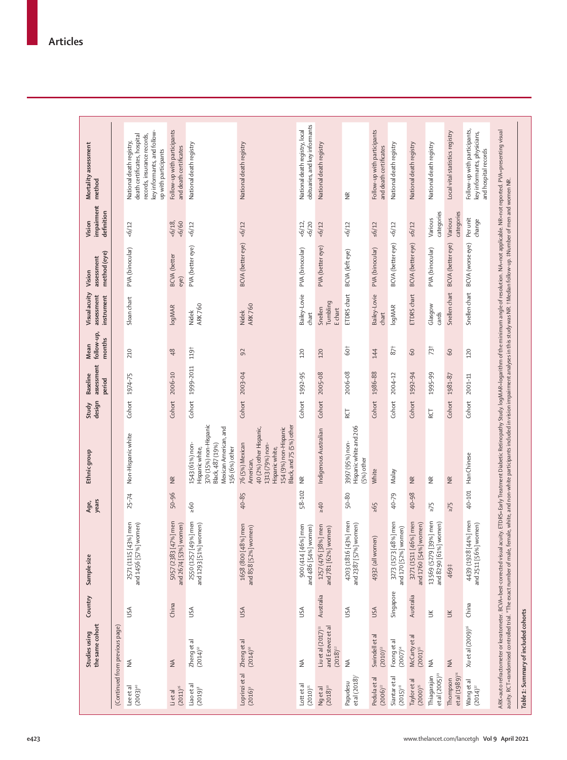|                                           | the same cohort<br>Studies using                                   | Country   | Sample size                                           | years<br>Age, | Ethnic group                                                                                                                                       | design<br>Study | assessment<br><b>Baseline</b><br>period | follow-up,<br>months<br>Mean | Visual acuity<br>assessment<br>instrument | method (eye)<br>assessment<br>Vision | impairment<br>definition<br>Vision | Mortality assessment<br>method                                                                                                                 |
|-------------------------------------------|--------------------------------------------------------------------|-----------|-------------------------------------------------------|---------------|----------------------------------------------------------------------------------------------------------------------------------------------------|-----------------|-----------------------------------------|------------------------------|-------------------------------------------|--------------------------------------|------------------------------------|------------------------------------------------------------------------------------------------------------------------------------------------|
|                                           | (Continued from previous page)                                     |           |                                                       |               |                                                                                                                                                    |                 |                                         |                              |                                           |                                      |                                    |                                                                                                                                                |
| Lee et al<br>$(2003)^{40}$                | $\lessgtr$                                                         | USA       | 2571 (1115 [43%] men<br>and 1456 [57%] women)         | $25 - 74$     | Non-Hispanic white                                                                                                                                 | Cohort          | 1974-75                                 | 210                          | Sloan chart                               | PVA (binocular)                      | 56/12                              | key informants, and follow-<br>death certificates, hospital<br>records, insurance records,<br>National death registry,<br>up with participants |
| $(2011)^{26}$<br>Lietal                   | $\leq$                                                             | China     | men<br>and 2674 [53%] women)<br>5057 (2383 [47%]      | 50-96         | $\widetilde{\Xi}$                                                                                                                                  | Cohort          | 2006-10                                 | $48$                         | logMAR                                    | <b>BCVA</b> (better<br>eye)          | $56/18$ ,<br>6/60                  | Follow-up with participants<br>and death certificates                                                                                          |
| Liao et al<br>$(2019)^8$                  | Zhengetal<br>$(2014)^{50}$                                         | USA       | 2550 (1257 [49%] men<br>and 1293 [51%] women)         | 60            | 370 (15%) non-Hispanic<br>Mexican American, and<br>1543 (61%) non-<br>Black, 487 (19%)<br>156 (6%) other<br>Hispanic white,                        |                 | Cohort 1999-2011                        | 119†                         | <b>ARK760</b><br>Nidek                    | PVA (better eye)                     | 56/12                              | National death registry                                                                                                                        |
| Loprinzi et al<br>$(2016)^9$              | Zhengetal<br>$(2014)^{50}$                                         | USA       | 1658 (800 [48%] men<br>and 858 [52%] women)           | 40-85         | Black, and 75 (5%) other<br>40 (2%) other Hispanic,<br>154 (9%) non-Hispanic<br>76 (5%) Mexican<br>1313 (79%) non-<br>Hispanic white,<br>American, |                 | Cohort 2003-04                          | 92                           | <b>ARK760</b><br>Nidek                    | BCVA (better eye) <6/12              |                                    | National death registry                                                                                                                        |
| Lottetal<br>$(2010)^{25}$                 | ₹                                                                  | USA       | 900 (414 [46%] men<br>and 486 [54%] women)            | 58-102        | $\widetilde{\Xi}$                                                                                                                                  | Cohort          | 1992-95                                 | 120                          | Bailey-Lovie<br>chart                     | PVA (binocular)                      | 56/12,<br>50/9                     | obituaries, and key informants<br>National death registry, local                                                                               |
| $(2018)^{10}$<br>Ng et al                 | and Estevez et al<br>Livetal (2017) <sup>51</sup><br>$(2018)^{52}$ | Australia | 1257 (476 [38%] men<br>and 781 [62%] women)           | 015           | Indigenous Australian                                                                                                                              |                 | Cohort 2005-08                          | 120                          | Tumbling<br>Snellen<br>Echart             | PVA (better eye)                     | 56/12                              | National death registry                                                                                                                        |
| et al $(2018)$ <sup>7</sup><br>Papudesu   | $\frac{1}{2}$                                                      | USA       | men<br>nen)<br>and 2387 [57%] wom<br>4203 (1816 [43%] | 50-80         | Hispanic white and 206<br>3997 (95%) non-<br>(5%) other                                                                                            | RCT             | 2006-08                                 | 60†                          | ETDRS chart                               | BCVA (left eye)                      | 56/12                              | $\widetilde{\Xi}$                                                                                                                              |
| Pedulaetal<br>$(2006)^{22}$               | Swindell et al<br>$(2010)^{53}$                                    | USA       | 4932 (all women)                                      | 595           | White                                                                                                                                              | Cohort          | 1986-88                                 | 144                          | Bailey-Lovie<br>chart                     | PVA (binocular)                      | $\leq 6/12$                        | Follow-up with participants<br>and death certificates                                                                                          |
| Siantar et al<br>$(2015)^{28}$            | Foong et al<br>$(2007)^{54}$                                       | Singapore | 3273 (1573 [48%] men<br>and 170 [52%] women)          | 40-79         | Malay                                                                                                                                              | Cohort          | 2004-12                                 | 87†                          | logMAR                                    | <b>BCVA</b> (better eye)             | 56/12                              | National death registry                                                                                                                        |
| Taylor et al<br>$(2000)^{\frac{35}{}}$    | McCarty et al<br>$(2001)^{\rm s}$                                  | Australia | 3271 (1511 [46%] men<br>and 1760 [54%] women)         | 40-98         | $\widetilde{\Xi}$                                                                                                                                  | Cohort          | 1992-94                                 | 60                           | ETDRS chart                               | BCVA (better eye)                    | 56/12                              | National death registry                                                                                                                        |
| et al (2005) <sup>19</sup><br>Thiagarajan | $\lessgtr$                                                         | š         | 13569 (5279 [39%] men<br>and 8290 [61%] women)        | $\geq 75$     | $\widetilde{\Xi}$                                                                                                                                  | RCT             | 1995-99                                 | 73 <sup>†</sup>              | Glasgow<br>cards                          | PVA (binocular)                      | categories<br>Various              | National death registry                                                                                                                        |
| et al $(1989)^{24}$<br>Thompson           | $\stackrel{\triangle}{\geq}$                                       | $\preceq$ | 469‡                                                  | $\geq 75$     | $\widetilde{\Xi}$                                                                                                                                  | Cohort          | 1981-87                                 | $60$                         | Snellen chart                             | <b>BCVA</b> (better eye)             | categories<br>Various              | Local vital statistics registry                                                                                                                |
| Wangetal<br>$(2014)^{32}$                 | Xuetal (2009) <sup>56</sup>                                        | China     | 4439 (1928 [44%] men<br>and 2511 [56%] women)         | 40-101        | Han Chinese                                                                                                                                        | Cohort          | $2001 - 11$                             | 120                          |                                           | Snellen chart BCVA (worse eye)       | Per unit<br>change                 | Follow-up with participants,<br>key informants, physicians,<br>and hospital records                                                            |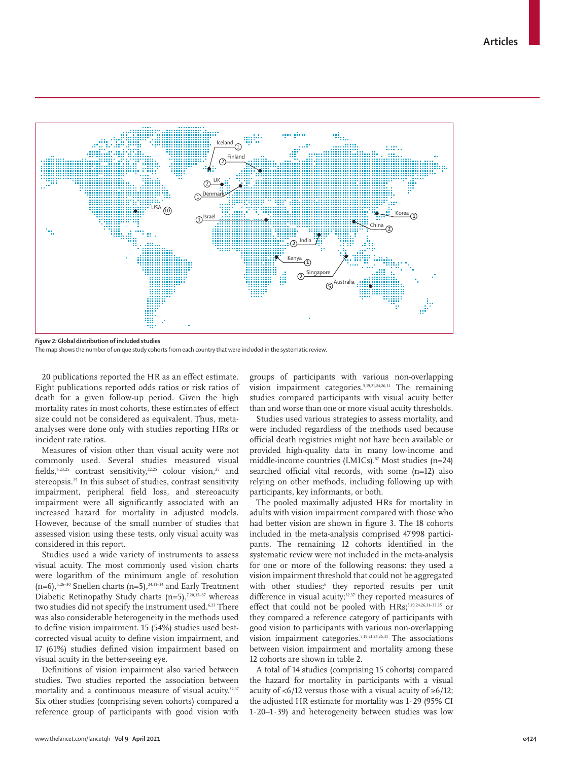

*Figure 2:* **Global distribution of included studies** The map shows the number of unique study cohorts from each country that were included in the systematic review.

20 publications reported the HR as an effect estimate. Eight publications reported odds ratios or risk ratios of death for a given follow-up period. Given the high mortality rates in most cohorts, these estimates of effect size could not be considered as equivalent. Thus, metaanalyses were done only with studies reporting HRs or incident rate ratios.

Measures of vision other than visual acuity were not commonly used. Several studies measured visual fields,<sup>6,23,25</sup> contrast sensitivity,<sup>22,25</sup> colour vision,<sup>25</sup> and stereopsis.<sup>25</sup> In this subset of studies, contrast sensitivity impairment, peripheral field loss, and stereoacuity impairment were all significantly associated with an increased hazard for mortality in adjusted models. However, because of the small number of studies that assessed vision using these tests, only visual acuity was considered in this report.

Studies used a wide variety of instruments to assess visual acuity. The most commonly used vision charts were logarithm of the minimum angle of resolution  $(n=6)$ ,<sup>5,26–30</sup> Snellen charts  $(n=5)$ ,<sup>24,31–34</sup> and Early Treatment Diabetic Retinopathy Study charts  $(n=5)$ ,<sup>7,20,35-37</sup> whereas two studies did not specify the instrument used.<sup>6,23</sup> There was also considerable heterogeneity in the methods used to define vision impairment. 15 (54%) studies used bestcorrected visual acuity to define vision impairment, and 17 (61%) studies defined vision impairment based on visual acuity in the better-seeing eye.

Definitions of vision impairment also varied between studies. Two studies reported the association between mortality and a continuous measure of visual acuity.<sup>32,37</sup> Six other studies (comprising seven cohorts) compared a reference group of participants with good vision with groups of participants with various non-overlapping vision impairment categories.5,19,21,24,26,31 The remaining studies compared participants with visual acuity better than and worse than one or more visual acuity thresholds.

Studies used various strategies to assess mortality, and were included regardless of the methods used because official death registries might not have been available or provided high-quality data in many low-income and middle-income countries (LMICs).<sup>57</sup> Most studies (n=24) searched official vital records, with some (n=12) also relying on other methods, including following up with participants, key informants, or both.

The pooled maximally adjusted HRs for mortality in adults with vision impairment compared with those who had better vision are shown in figure 3. The 18 cohorts included in the meta-analysis comprised 47 998 participants. The remaining 12 cohorts identified in the systematic review were not included in the meta-analysis for one or more of the following reasons: they used a vision impairment threshold that could not be aggregated with other studies;<sup>6</sup> they reported results per unit difference in visual acuity;<sup>32,37</sup> they reported measures of effect that could not be pooled with HRs;<sup>5,19,24,26,31-33,35</sup> or they compared a reference category of participants with good vision to participants with various non-overlapping vision impairment categories.5,19,21,24,26,31 The associations between vision impairment and mortality among these 12 cohorts are shown in table 2.

A total of 14 studies (comprising 15 cohorts) compared the hazard for mortality in participants with a visual acuity of <6/12 versus those with a visual acuity of  $\geq 6/12$ ; the adjusted HR estimate for mortality was 1·29 (95% CI 1·20–1·39) and heterogeneity between studies was low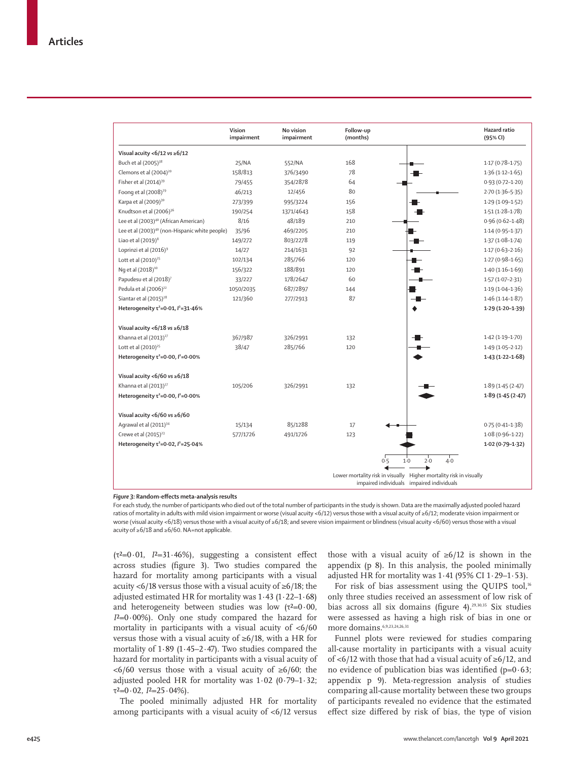|                                                            | Vision<br>impairment | No vision<br>impairment | Follow-up<br>(months) |                                                                                             | Hazard ratio<br>(95% CI) |
|------------------------------------------------------------|----------------------|-------------------------|-----------------------|---------------------------------------------------------------------------------------------|--------------------------|
| Visual acuity <6/12 vs $\geq 6/12$                         |                      |                         |                       |                                                                                             |                          |
| Buch et al (2005) <sup>38</sup>                            | 25/NA                | 552/NA                  | 168                   |                                                                                             | $1.17(0.78-1.75)$        |
| Clemons et al (2004) <sup>20</sup>                         | 158/813              | 376/3490                | 78                    |                                                                                             | $1.36(1.12 - 1.65)$      |
| Fisher et al (2014) <sup>39</sup>                          | 79/455               | 354/2878                | 64                    |                                                                                             | $0.93(0.72 - 1.20)$      |
| Foong et al (2008) <sup>29</sup>                           | 46/213               | 12/456                  | 80                    |                                                                                             | $2.70(1.36 - 5.35)$      |
| Karpa et al (2009) <sup>30</sup>                           | 273/399              | 995/3224                | 156                   |                                                                                             | $1.29(1.09 - 1.52)$      |
| Knudtson et al (2006) <sup>36</sup>                        | 190/254              | 1371/4643               | 158                   |                                                                                             | $1.51(1.28-1.78)$        |
| Lee et al (2003) <sup>40</sup> (African American)          | 8/16                 | 48/189                  | 210                   |                                                                                             | $0.96(0.62 - 1.48)$      |
| Lee et al (2003) <sup>40</sup> (non-Hispanic white people) | 35/96                | 469/2205                | 210                   |                                                                                             | $1.14(0.95 - 1.37)$      |
| Liao et al $(2019)^8$                                      | 149/272              | 803/2278                | 119                   |                                                                                             | $1.37(1.08-1.74)$        |
| Loprinzi et al (2016) <sup>9</sup>                         | 14/27                | 214/1631                | 92                    |                                                                                             | $1.17(0.63 - 2.16)$      |
| Lott et al $(2010)^{25}$                                   | 102/134              | 285/766                 | 120                   |                                                                                             | $1.27(0.98 - 1.65)$      |
| Ng et al (2018) <sup>10</sup>                              | 156/322              | 188/891                 | 120                   |                                                                                             | $1.40(1.16 - 1.69)$      |
| Papudesu et al (2018) <sup>7</sup>                         | 33/227               | 178/2647                | 60                    |                                                                                             | $1.57(1.07 - 2.31)$      |
| Pedula et al (2006) <sup>22</sup>                          | 1050/2035            | 687/2897                | 144                   |                                                                                             | $1.19(1.04 - 1.36)$      |
| Siantar et al (2015) <sup>28</sup>                         | 121/360              | 277/2913                | 87                    |                                                                                             | $1.46(1.14-1.87)$        |
| Heterogeneity $\tau^2$ =0.01, $l^2$ =31.46%                |                      |                         |                       |                                                                                             | $1.29(1.20-1.39)$        |
| Visual acuity <6/18 vs $\geq$ 6/18                         |                      |                         |                       |                                                                                             |                          |
| Khanna et al (2013) <sup>27</sup>                          | 367/987              | 326/2991                | 132                   |                                                                                             | $1.42(1.19-1.70)$        |
| Lott et al (2010) <sup>25</sup>                            | 38/47                | 285/766                 | 120                   |                                                                                             | $1.49(1.05 - 2.12)$      |
| Heterogeneity $\tau^2$ =0.00, $l^2$ =0.00%                 |                      |                         |                       |                                                                                             | $1.43(1.22 - 1.68)$      |
| Visual acuity <6/60 vs $\geq 6/18$                         |                      |                         |                       |                                                                                             |                          |
| Khanna et al (2013) <sup>27</sup>                          | 105/206              | 326/2991                | 132                   |                                                                                             | 1.89(1.45(2.47))         |
| Heterogeneity $\tau^2$ =0.00, $l^2$ =0.00%                 |                      |                         |                       |                                                                                             | 1.89(1.45(2.47))         |
| Visual acuity <6/60 vs $\geq 6/60$                         |                      |                         |                       |                                                                                             |                          |
| Agrawal et al (2011) <sup>34</sup>                         | 15/134               | 85/1288                 | 17                    |                                                                                             | $0.75(0.41 - 1.38)$      |
| Crewe et al (2015) <sup>23</sup>                           | 577/1726             | 491/1726                | 123                   |                                                                                             | $1.08(0.96 - 1.22)$      |
| Heterogeneity $\tau^2$ =0.02, $l^2$ =25.04%                |                      |                         |                       |                                                                                             | $1.02(0.79 - 1.32)$      |
|                                                            |                      |                         | 0.5                   | $1-0$<br>2.0<br>$4-0$<br>Lower mortality risk in visually Higher mortality risk in visually |                          |
|                                                            |                      |                         |                       | impaired individuals impaired individuals                                                   |                          |

*Figure 3:* **Random-effects meta-analysis results**

For each study, the number of participants who died out of the total number of participants in the study is shown. Data are the maximally adjusted pooled hazard ratios of mortality in adults with mild vision impairment or worse (visual acuity <6/12) versus those with a visual acuity of ≥6/12; moderate vision impairment or worse (visual acuity <6/18) versus those with a visual acuity of ≥6/18; and severe vision impairment or blindness (visual acuity <6/60) versus those with a visual acuity of ≥6/18 and ≥6/60. NA=not applicable.

(τ²=0·01, *I*²=31·46%), suggesting a consistent effect across studies (figure 3). Two studies compared the hazard for mortality among participants with a visual acuity <6/18 versus those with a visual acuity of ≥6/18; the adjusted estimated HR for mortality was 1·43 (1·22–1·68) and heterogeneity between studies was low  $(\tau^2=0.00,$ *I*²=0·00%). Only one study compared the hazard for mortality in participants with a visual acuity of <6/60 versus those with a visual acuity of ≥6/18, with a HR for mortality of  $1.89$  ( $1.45-2.47$ ). Two studies compared the hazard for mortality in participants with a visual acuity of <6/60 versus those with a visual acuity of ≥6/60; the adjusted pooled HR for mortality was 1·02 (0·79–1·32;  $\tau^2 = 0.02$ ,  $I^2 = 25.04\%$ ).

The pooled minimally adjusted HR for mortality among participants with a visual acuity of  $\langle 6/12 \rangle$  versus those with a visual acuity of  $≥6/12$  is shown in the appendix (p 8). In this analysis, the pooled minimally adjusted HR for mortality was  $1.41$  (95% CI  $1.29-1.53$ ).

For risk of bias assessment using the QUIPS tool,<sup>16</sup> only three studies received an assessment of low risk of bias across all six domains (figure 4).<sup>29,30,35</sup> Six studies were assessed as having a high risk of bias in one or more domains.<sup>6,9,23,24,26,31</sup>

Funnel plots were reviewed for studies comparing all-cause mortality in participants with a visual acuity of <6/12 with those that had a visual acuity of ≥6/12, and no evidence of publication bias was identified ( $p=0.63$ ; appendix p 9). Meta-regression analysis of studies comparing all-cause mortality between these two groups of participants revealed no evidence that the estimated effect size differed by risk of bias, the type of vision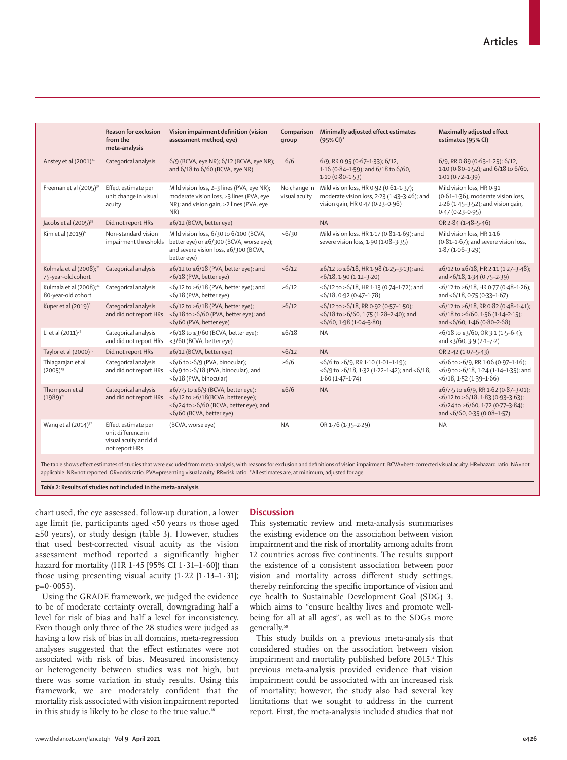|                                                           | <b>Reason for exclusion</b><br>from the<br>meta-analysis                             | Vision impairment definition (vision<br>assessment method, eye)                                                                               | Comparison<br>qroup           | Minimally adjusted effect estimates<br>$(95%$ CI)*                                                                            | Maximally adjusted effect<br>estimates (95% CI)                                                                                               |
|-----------------------------------------------------------|--------------------------------------------------------------------------------------|-----------------------------------------------------------------------------------------------------------------------------------------------|-------------------------------|-------------------------------------------------------------------------------------------------------------------------------|-----------------------------------------------------------------------------------------------------------------------------------------------|
| Anstey et al (2001) <sup>31</sup>                         | Categorical analysis                                                                 | 6/9 (BCVA, eye NR); 6/12 (BCVA, eye NR);<br>and 6/18 to 6/60 (BCVA, eye NR)                                                                   | 6/6                           | 6/9, RR 0.95 (0.67-1.33); 6/12,<br>1.16 (0.84-1.59); and 6/18 to 6/60,<br>$1.10(0.80 - 1.53)$                                 | 6/9, RR 0.89 (0.63-1.25); 6/12,<br>1.10 (0.80-1.52); and 6/18 to 6/60,<br>$1.01(0.72 - 1.39)$                                                 |
| Freeman et al (2005) <sup>37</sup>                        | Effect estimate per<br>unit change in visual<br>acuity                               | Mild vision loss, 2-3 lines (PVA, eye NR);<br>moderate vision loss, ≥3 lines (PVA, eye<br>NR); and vision gain, ≥2 lines (PVA, eye<br>NR)     | No change in<br>visual acuity | Mild vision loss, HR 0-92 (0-61-1-37);<br>moderate vision loss, 2-23 (1-43-3-46); and<br>vision gain, HR 0-47 (0-23-0-96)     | Mild vision loss, HR 0-91<br>(0.61-1.36); moderate vision loss,<br>2.26 (1.45-3.52); and vision gain,<br>$0.47(0.23 - 0.95)$                  |
| Jacobs et al (2005) <sup>33</sup>                         | Did not report HRs                                                                   | $\leq 6/12$ (BCVA, better eye)                                                                                                                |                               | <b>NA</b>                                                                                                                     | OR 2.84 (1.48-5.46)                                                                                                                           |
| Kim et al (2019) <sup>6</sup>                             | Non-standard vision<br>impairment thresholds                                         | Mild vision loss, 6/30 to 6/100 (BCVA,<br>better eye) or ≤6/300 (BCVA, worse eye);<br>and severe vision loss, ≤6/300 (BCVA,<br>better eye)    | >6/30                         | Mild vision loss, HR 1.17 (0.81-1.69); and<br>severe vision loss, 1.90 (1.08-3.35)                                            | Mild vision loss, HR 1-16<br>(0.81-1.67); and severe vision loss,<br>$1.87(1.06-3.29)$                                                        |
| Kulmala et al (2008); <sup>21</sup><br>75-year-old cohort | Categorical analysis                                                                 | $\leq 6/12$ to $\geq 6/18$ (PVA, better eye); and<br><6/18 (PVA, better eye)                                                                  | >6/12                         | ≤6/12 to ≥6/18, HR 1.98 (1.25-3.13); and<br>$<$ 6/18, 1 $\cdot$ 90 (1 $\cdot$ 12 $-$ 3 $\cdot$ 20)                            | ≤6/12 to ≥6/18, HR 2.11 (1.27-3.48);<br>and <6/18, 1.34 (0.75-2.39)                                                                           |
| Kulmala et al (2008); <sup>21</sup><br>80-year-old cohort | Categorical analysis                                                                 | ≤6/12 to ≥6/18 (PVA, better eye); and<br><6/18 (PVA, better eye)                                                                              | >6/12                         | ≤6/12 to ≥6/18, HR 1·13 (0·74-1·72); and<br>$<6/18, 0.92 (0.47 - 1.78)$                                                       | ≤6/12 to ≥6/18, HR 0.77 (0.48-1.26);<br>and <6/18, 0.75 (0.33-1.67)                                                                           |
| Kuper et al (2019) <sup>5</sup>                           | Categorical analysis<br>and did not report HRs                                       | $<6/12$ to $\geq 6/18$ (PVA, better eye);<br><6/18 to ≥6/60 (PVA, better eye); and<br><6/60 (PVA, better eye)                                 | $\ge 6/12$                    | $<6/12$ to $\geq 6/18$ , RR 0.92 (0.57-1.50);<br>$<$ 6/18 to $\geq$ 6/60, 1.75 (1.28-2.40); and<br>$<6/60, 1.98(1.04-3.80)$   | $<6/12$ to $\geq 6/18$ , RR 0.82 (0.48-1.41);<br>$56/18$ to $\geq 6/60$ , 1.56 (1.14-2.15);<br>and <6/60, 1.46 (0.80-2.68)                    |
| Li et al (2011) <sup>26</sup>                             | Categorical analysis<br>and did not report HRs                                       | $<6/18$ to $\geq$ 3/60 (BCVA, better eye);<br><3/60 (BCVA, better eye)                                                                        | $\geq 6/18$                   | <b>NA</b>                                                                                                                     | $<6/18$ to $\geq$ 3/60, OR 3.1 (1.5-6.4);<br>and <3/60, 3.9 (2.1-7.2)                                                                         |
| Taylor et al (2000) <sup>35</sup>                         | Did not report HRs                                                                   | $\leq 6/12$ (BCVA, better eye)                                                                                                                | >6/12                         | <b>NA</b>                                                                                                                     | OR 2.42 (1.07-5.43)                                                                                                                           |
| Thiagarajan et al<br>$(2005)^{19}$                        | Categorical analysis<br>and did not report HRs                                       | $<6/6$ to $\geq 6/9$ (PVA, binocular);<br><6/9 to ≥6/18 (PVA, binocular); and<br><6/18 (PVA, binocular)                                       | $\geq 6/6$                    | $<$ 6/6 to $\geq$ 6/9, RR 1.10 (1.01-1.19);<br>$<6/9$ to $\geq 6/18$ , 1.32 (1.22-1.42); and $<6/18$ ,<br>$1.60(1.47 - 1.74)$ | $<6/6$ to $\geq 6/9$ , RR 1.06 (0.97-1.16);<br><6/9 to ≥6/18, 1.24 (1.14-1.35); and<br>$<$ 6/18, 1 $\cdot$ 52 (1 $\cdot$ 39-1 $\cdot$ 66)     |
| Thompson et al<br>$(1989)^{24}$                           | Categorical analysis<br>and did not report HRs                                       | ≤6/7.5 to ≥6/9 (BCVA, better eye);<br>≤6/12 to ≥6/18(BCVA, better eye);<br>≤6/24 to ≥6/60 (BCVA, better eye); and<br><6/60 (BCVA, better eye) | $\geq 6/6$                    | <b>NA</b>                                                                                                                     | ≤6/7.5 to ≥6/9, RR 1.62 (0.87-3.01);<br>≤6/12 to ≥6/18, 1.83 (0.93-3.63);<br>≤6/24 to ≥6/60, 1.72 (0.77-3.84);<br>and <6/60, 0.35 (0.08-1.57) |
| Wang et al (2014) <sup>32</sup>                           | Effect estimate per<br>unit difference in<br>visual acuity and did<br>not report HRs | (BCVA, worse eye)                                                                                                                             | <b>NA</b>                     | OR 1.76 (1.35-2.29)                                                                                                           | <b>NA</b>                                                                                                                                     |

*Table 2:* **Results of studies not included in the meta-analysis**

chart used, the eye assessed, follow-up duration, a lower age limit (ie, participants aged <50 years *vs* those aged ≥50 years), or study design (table 3). However, studies that used best-corrected visual acuity as the vision assessment method reported a significantly higher hazard for mortality (HR 1·45 [95% CI 1·31–1·60]) than those using presenting visual acuity  $(1.22 \; [1.13-1.31];$  $p=0.0055$ ).

Using the GRADE framework, we judged the evidence to be of moderate certainty overall, downgrading half a level for risk of bias and half a level for inconsistency. Even though only three of the 28 studies were judged as having a low risk of bias in all domains, meta-regression analyses suggested that the effect estimates were not associated with risk of bias. Measured inconsistency or heterogeneity between studies was not high, but there was some variation in study results. Using this framework, we are moderately confident that the mortality risk associated with vision impairment reported in this study is likely to be close to the true value.<sup>18</sup>

# **Discussion**

This systematic review and meta-analysis summarises the existing evidence on the association between vision impairment and the risk of mortality among adults from 12 countries across five continents. The results support the existence of a consistent association between poor vision and mortality across different study settings, thereby reinforcing the specific importance of vision and eye health to Sustainable Development Goal (SDG) 3, which aims to "ensure healthy lives and promote wellbeing for all at all ages", as well as to the SDGs more generally.<sup>58</sup>

This study builds on a previous meta-analysis that considered studies on the association between vision impairment and mortality published before 2015.<sup>4</sup> This previous meta-analysis provided evidence that vision impairment could be associated with an increased risk of mortality; however, the study also had several key limitations that we sought to address in the current report. First, the meta-analysis included studies that not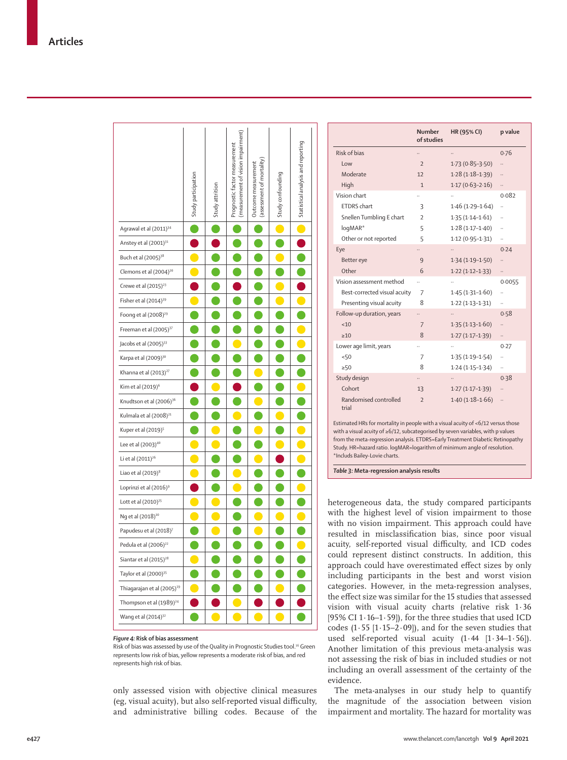|                                        | Study participation | Study attrition | (measurement of vision impairment)<br>Prognostic factor measurement | (assessment of mortality)<br>Outcome measurement | Study confounding | Statistical analysis and reporting |
|----------------------------------------|---------------------|-----------------|---------------------------------------------------------------------|--------------------------------------------------|-------------------|------------------------------------|
| Agrawal et al (2011) <sup>34</sup>     |                     |                 |                                                                     |                                                  | $\bullet$         | O                                  |
| Anstey et al (2001) <sup>31</sup>      |                     |                 |                                                                     |                                                  |                   |                                    |
| Buch et al (2005) <sup>38</sup>        | 0                   |                 |                                                                     |                                                  |                   |                                    |
| Clemons et al (2004) <sup>20</sup>     |                     |                 |                                                                     |                                                  |                   |                                    |
| Crewe et al (2015) <sup>23</sup>       |                     |                 |                                                                     |                                                  |                   |                                    |
| Fisher et al (2014) <sup>39</sup>      |                     |                 |                                                                     |                                                  |                   |                                    |
| Foong et al (2008) <sup>29</sup>       |                     |                 |                                                                     |                                                  |                   |                                    |
| Freeman et al (2005) <sup>37</sup>     |                     |                 |                                                                     |                                                  |                   |                                    |
| Jacobs et al (2005) <sup>33</sup>      |                     |                 |                                                                     |                                                  |                   |                                    |
| Karpa et al (2009) <sup>30</sup>       |                     |                 |                                                                     |                                                  |                   |                                    |
| Khanna et al (2013) <sup>27</sup>      |                     |                 |                                                                     |                                                  |                   |                                    |
| Kim et al (2019) <sup>6</sup>          |                     |                 |                                                                     |                                                  |                   |                                    |
| Knudtson et al (2006) <sup>36</sup>    |                     |                 |                                                                     |                                                  |                   |                                    |
| Kulmala et al (2008) <sup>21</sup>     |                     |                 |                                                                     |                                                  |                   |                                    |
| Kuper et al (2019) <sup>5</sup>        |                     |                 |                                                                     |                                                  |                   |                                    |
| Lee et al (2003) <sup>40</sup>         | O                   |                 |                                                                     |                                                  |                   |                                    |
| Li et al (2011) <sup>26</sup>          | O                   |                 |                                                                     | O                                                |                   | O                                  |
| Liao et al $(2019)^8$                  | $\bullet$           |                 |                                                                     |                                                  |                   |                                    |
| Loprinzi et al (2016) <sup>9</sup>     |                     |                 |                                                                     |                                                  |                   |                                    |
| Lott et al (2010) <sup>25</sup>        |                     |                 |                                                                     |                                                  |                   |                                    |
| Ng et al (2018) <sup>10</sup>          |                     |                 |                                                                     |                                                  |                   |                                    |
| Papudesu et al (2018) <sup>7</sup>     |                     |                 |                                                                     | $\bullet$                                        |                   |                                    |
| Pedula et al (2006) <sup>22</sup>      |                     |                 | C                                                                   | C                                                |                   | $\bullet$                          |
| Siantar et al (2015) <sup>28</sup>     |                     |                 |                                                                     |                                                  |                   |                                    |
| Taylor et al (2000) <sup>35</sup>      |                     |                 |                                                                     |                                                  |                   |                                    |
| Thiagarajan et al (2005) <sup>19</sup> |                     |                 |                                                                     |                                                  |                   |                                    |
| Thompson et al (1989) <sup>24</sup>    |                     |                 |                                                                     |                                                  |                   |                                    |
| Wang et al (2014) <sup>32</sup>        |                     |                 |                                                                     |                                                  |                   |                                    |

 $\overline{1}$ 

 $\mathbf{I}$ 

 $\overline{1}$ 

 $\overline{1}$ 

 $\overline{1}$ 

 $\mathbf{r}$ 

#### *Figure 4:* **Risk of bias assessment**

Risk of bias was assessed by use of the Quality in Prognostic Studies tool.16 Green represents low risk of bias, yellow represents a moderate risk of bias, and red represents high risk of bias.

only assessed vision with objective clinical measures (eg, visual acuity), but also self-reported visual difficulty, and administrative billing codes. Because of the

|                                | Number<br>of studies     | HR (95% CI)         | p value |
|--------------------------------|--------------------------|---------------------|---------|
| Risk of hias                   |                          |                     | 0.76    |
| low                            | $\overline{z}$           | $1.73(0.85 - 3.50)$ |         |
| Moderate                       | 12                       | $1.28(1.18-1.39)$   |         |
| High                           | $\mathbf{1}$             | $1.17(0.63 - 2.16)$ |         |
| Vision chart                   |                          |                     | 0.082   |
| <b>ETDRS</b> chart             | 3                        | $1.46(1.29-1.64)$   |         |
| Snellen Tumbling E chart       | $\overline{\phantom{a}}$ | $1.35(1.14 - 1.61)$ |         |
| logMAR*                        | 5                        | $1.28(1.17 - 1.40)$ |         |
| Other or not reported          | 5                        | $1.12(0.95 - 1.31)$ | .,      |
| Eye                            |                          |                     | 0.24    |
| Better eye                     | 9                        | $1.34(1.19-1.50)$   |         |
| Other                          | 6                        | $1.22(1.12 - 1.33)$ |         |
| Vision assessment method       |                          |                     | 0.0055  |
| Best-corrected visual acuity   | 7                        | $1.45(1.31 - 1.60)$ | .,      |
| Presenting visual acuity       | 8                        | $1.22(1.13 - 1.31)$ | .,      |
| Follow-up duration, years      |                          |                     | 0.58    |
| <10                            | $\overline{7}$           | $1.35(1.13 - 1.60)$ |         |
| >10                            | 8                        | $1.27(1.17-1.39)$   |         |
| Lower age limit, years         |                          |                     | 0.27    |
| 50                             | $\overline{7}$           | $1.35(1.19 - 1.54)$ | .,      |
| >50                            | 8                        | $1.24(1.15-1.34)$   |         |
| Study design                   |                          |                     | 0.38    |
| Cohort                         | 13                       | $1.27(1.17-1.39)$   |         |
| Randomised controlled<br>trial | $\overline{\phantom{0}}$ | $1.40(1.18 - 1.66)$ |         |

Estimated HRs for mortality in people with a visual acuity of <6/12 versus those with a visual acuity of ≥6/12, subcategorised by seven variables, with p values from the meta-regression analysis. ETDRS=Early Treatment Diabetic Retinopathy Study. HR=hazard ratio. logMAR=logarithm of minimum angle of resolution. \*Includs Bailey-Lovie charts.

*Table 3:* **Meta-regression analysis results**

heterogeneous data, the study compared participants with the highest level of vision impairment to those with no vision impairment. This approach could have resulted in misclassification bias, since poor visual acuity, self-reported visual difficulty, and ICD codes could represent distinct constructs. In addition, this approach could have overestimated effect sizes by only including participants in the best and worst vision categories. However, in the meta-regression analyses, the effect size was similar for the 15 studies that assessed vision with visual acuity charts (relative risk 1·36 [95% CI 1·16–1·59]), for the three studies that used ICD codes  $(1.55 [1.15-2.09])$ , and for the seven studies that used self-reported visual acuity (1·44 [1·34–1·56]). Another limitation of this previous meta-analysis was not assessing the risk of bias in included studies or not including an overall assessment of the certainty of the evidence.

The meta-analyses in our study help to quantify the magnitude of the association between vision impairment and mortality. The hazard for mortality was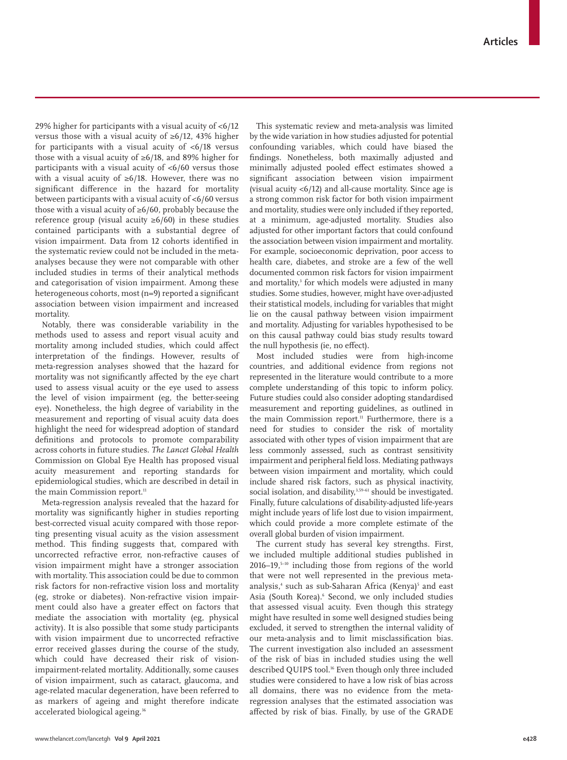29% higher for participants with a visual acuity of <6/12 versus those with a visual acuity of ≥6/12, 43% higher for participants with a visual acuity of  $\langle 6/18 \rangle$  versus those with a visual acuity of ≥6/18, and 89% higher for participants with a visual acuity of <6/60 versus those with a visual acuity of ≥6/18. However, there was no significant difference in the hazard for mortality between participants with a visual acuity of <6/60 versus those with a visual acuity of ≥6/60, probably because the reference group (visual acuity  $\geq 6/60$ ) in these studies contained participants with a substantial degree of vision impairment. Data from 12 cohorts identified in the systematic review could not be included in the metaanalyses because they were not comparable with other included studies in terms of their analytical methods and categorisation of vision impairment. Among these heterogeneous cohorts, most (n=9) reported a significant association between vision impairment and increased mortality.

Notably, there was considerable variability in the methods used to assess and report visual acuity and mortality among included studies, which could affect interpretation of the findings. However, results of meta-regression analyses showed that the hazard for mortality was not significantly affected by the eye chart used to assess visual acuity or the eye used to assess the level of vision impairment (eg, the better-seeing eye). Nonetheless, the high degree of variability in the measurement and reporting of visual acuity data does highlight the need for widespread adoption of standard definitions and protocols to promote comparability across cohorts in future studies. *The Lancet Global Health*  Commission on Global Eye Health has proposed visual acuity measurement and reporting standards for epidemiological studies, which are described in detail in the main Commission report.<sup>11</sup>

Meta-regression analysis revealed that the hazard for mortality was significantly higher in studies reporting best-corrected visual acuity compared with those reporting presenting visual acuity as the vision assessment method. This finding suggests that, compared with uncorrected refractive error, non-refractive causes of vision impairment might have a stronger association with mortality. This association could be due to common risk factors for non-refractive vision loss and mortality (eg, stroke or diabetes). Non-refractive vision impairment could also have a greater effect on factors that mediate the association with mortality (eg, physical activity). It is also possible that some study participants with vision impairment due to uncorrected refractive error received glasses during the course of the study, which could have decreased their risk of visionimpairment-related mortality. Additionally, some causes of vision impairment, such as cataract, glaucoma, and age-related macular degeneration, have been referred to as markers of ageing and might therefore indicate accelerated biological ageing.<sup>36</sup>

This systematic review and meta-analysis was limited by the wide variation in how studies adjusted for potential confounding variables, which could have biased the findings. Nonetheless, both maximally adjusted and minimally adjusted pooled effect estimates showed a significant association between vision impairment (visual acuity <6/12) and all-cause mortality. Since age is a strong common risk factor for both vision impairment and mortality, studies were only included if they reported, at a minimum, age-adjusted mortality. Studies also adjusted for other important factors that could confound the association between vision impairment and mortality. For example, socioeconomic deprivation, poor access to health care, diabetes, and stroke are a few of the well documented common risk factors for vision impairment and mortality,<sup>3</sup> for which models were adjusted in many studies. Some studies, however, might have over-adjusted their statistical models, including for variables that might lie on the causal pathway between vision impairment and mortality. Adjusting for variables hypothesised to be on this causal pathway could bias study results toward the null hypothesis (ie, no effect).

Most included studies were from high-income countries, and additional evidence from regions not represented in the literature would contribute to a more complete understanding of this topic to inform policy. Future studies could also consider adopting standardised measurement and reporting guidelines, as outlined in the main Commission report.<sup>11</sup> Furthermore, there is a need for studies to consider the risk of mortality associated with other types of vision impairment that are less commonly assessed, such as contrast sensitivity impairment and peripheral field loss. Mediating pathways between vision impairment and mortality, which could include shared risk factors, such as physical inactivity, social isolation, and disability,<sup>3,59-61</sup> should be investigated. Finally, future calculations of disability-adjusted life-years might include years of life lost due to vision impairment, which could provide a more complete estimate of the overall global burden of vision impairment.

The current study has several key strengths. First, we included multiple additional studies published in  $2016-19$ ,<sup> $5-10$ </sup> including those from regions of the world that were not well represented in the previous metaanalysis,<sup>4</sup> such as sub-Saharan Africa (Kenya)<sup>5</sup> and east Asia (South Korea).<sup>6</sup> Second, we only included studies that assessed visual acuity. Even though this strategy might have resulted in some well designed studies being excluded, it served to strengthen the internal validity of our meta-analysis and to limit misclassification bias. The current investigation also included an assessment of the risk of bias in included studies using the well described QUIPS tool.<sup>16</sup> Even though only three included studies were considered to have a low risk of bias across all domains, there was no evidence from the metaregression analyses that the estimated association was affected by risk of bias. Finally, by use of the GRADE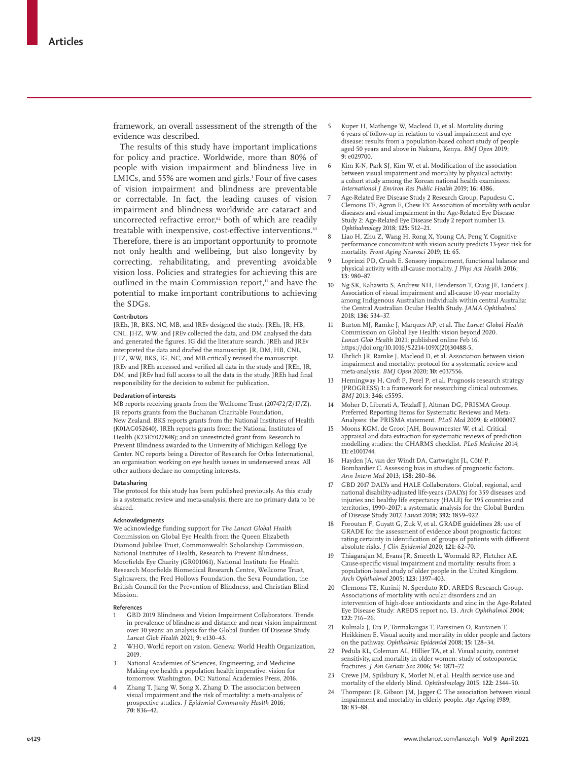framework, an overall assessment of the strength of the evidence was described.

The results of this study have important implications for policy and practice. Worldwide, more than 80% of people with vision impairment and blindness live in LMICs, and 55% are women and girls.<sup>1</sup> Four of five cases of vision impairment and blindness are preventable or correctable. In fact, the leading causes of vision impairment and blindness worldwide are cataract and uncorrected refractive error,<sup>62</sup> both of which are readily treatable with inexpensive, cost-effective interventions.<sup>63</sup> Therefore, there is an important opportunity to promote not only health and wellbeing, but also longevity by correcting, rehabilitating, and preventing avoidable vision loss. Policies and strategies for achieving this are outlined in the main Commission report,<sup>11</sup> and have the potential to make important contributions to achieving the SDGs.

#### **Contributors**

JREh, JR, BKS, NC, MB, and JREv designed the study. JREh, JR, HB, CNL, JHZ, WW, and JREv collected the data, and DM analysed the data and generated the figures. IG did the literature search. JREh and JREv interpreted the data and drafted the manuscript. JR, DM, HB, CNL, JHZ, WW, BKS, IG, NC, and MB critically revised the manuscript. JREv and JREh accessed and verified all data in the study and JREh, JR, DM, and JREv had full access to all the data in the study. JREh had final responsibility for the decision to submit for publication.

#### **Declaration of interests**

MB reports receiving grants from the Wellcome Trust (207472/Z/17/Z). JR reports grants from the Buchanan Charitable Foundation, New Zealand. BKS reports grants from the National Institutes of Health (K01AG052640). JREh reports grants from the National Institutes of Health (K23EY027848); and an unrestricted grant from Research to Prevent Blindness awarded to the University of Michigan Kellogg Eye Center. NC reports being a Director of Research for Orbis International, an organisation working on eye health issues in underserved areas. All other authors declare no competing interests.

#### **Data sharing**

The protocol for this study has been published previously. As this study is a systematic review and meta-analysis, there are no primary data to be shared.

#### **Acknowledgments**

We acknowledge funding support for *The Lancet Global Health* Commission on Global Eye Health from the Queen Elizabeth Diamond Jubilee Trust, Commonwealth Scholarship Commission, National Institutes of Health, Research to Prevent Blindness, Moorfields Eye Charity (GR001061), National Institute for Health Research Moorfields Biomedical Research Centre, Wellcome Trust, Sightsavers, the Fred Hollows Foundation, the Seva Foundation, the British Council for the Prevention of Blindness, and Christian Blind Mission.

#### **References**

- 1 GBD 2019 Blindness and Vision Impairment Collaborators*.* Trends in prevalence of blindness and distance and near vision impairment over 30 years: an analysis for the Global Burden Of Disease Study. *Lancet Glob Health* 2021; **9:** e130–43.
- 2 WHO. World report on vision. Geneva: World Health Organization, 2019.
- National Academies of Sciences, Engineering, and Medicine. Making eye health a population health imperative: vision for tomorrow. Washington, DC: National Academies Press, 2016.
- Zhang T, Jiang W, Song X, Zhang D. The association between visual impairment and the risk of mortality: a meta-analysis of prospective studies. *J Epidemiol Community Health* 2016; **70:** 836–42.
- 5 Kuper H, Mathenge W, Macleod D, et al*.* Mortality during 6 years of follow-up in relation to visual impairment and eye disease: results from a population-based cohort study of people aged 50 years and above in Nakuru, Kenya. *BMJ Open* 2019; **9:** e029700.
- 6 Kim K-N, Park SJ, Kim W, et al*.* Modification of the association between visual impairment and mortality by physical activity: a cohort study among the Korean national health examinees. *International J Environ Res Public Health* 2019; **16:** 4386.
- 7 Age-Related Eye Disease Study 2 Research Group, Papudesu C, Clemons TE, Agron E, Chew EY. Association of mortality with ocular diseases and visual impairment in the Age-Related Eye Disease Study 2: Age-Related Eye Disease Study 2 report number 13. *Ophthalmology* 2018; **125:** 512–21.
- 8 Liao H, Zhu Z, Wang H, Rong X, Young CA, Peng Y. Cognitive performance concomitant with vision acuity predicts 13-year risk for mortality. *Front Aging Neurosci* 2019; **11:** 65.
- Loprinzi PD, Crush E. Sensory impairment, functional balance and physical activity with all-cause mortality. *J Phys Act Health* 2016; **13:** 980–87.
- 10 Ng SK, Kahawita S, Andrew NH, Henderson T, Craig JE, Landers J. Association of visual impairment and all-cause 10-year mortality among Indigenous Australian individuals within central Australia: the Central Australian Ocular Health Study. *JAMA Ophthalmol* 2018; **136:** 534–37.
- 11 Burton MJ, Ramke J, Marques AP, et al. The *Lancet Global Health* Commission on Global Eye Health: vision beyond 2020. *Lancet Glob Health* 2021; published online Feb 16. https://doi.org/10.1016/S2214-109X(20)30488-5.
- 12 Ehrlich JR, Ramke J, Macleod D, et al*.* Association between vision impairment and mortality: protocol for a systematic review and meta-analysis. *BMJ Open* 2020; **10:** e037556.
- 13 Hemingway H, Croft P, Perel P, et al*.* Prognosis research strategy (PROGRESS) 1: a framework for researching clinical outcomes. *BMJ* 2013; **346:** e5595.
- Moher D, Liberati A, Tetzlaff J, Altman DG, PRISMA Group. Preferred Reporting Items for Systematic Reviews and Meta-Analyses: the PRISMA statement. *PLoS Med* 2009; **6:** e1000097.
- 15 Moons KGM, de Groot JAH, Bouwmeester W, et al*.* Critical appraisal and data extraction for systematic reviews of prediction modelling studies: the CHARMS checklist. *PLoS Medicine* 2014; **11:** e1001744.
- 16 Hayden JA, van der Windt DA, Cartwright JL, Côté P, Bombardier C. Assessing bias in studies of prognostic factors. *Ann Intern Med* 2013; **158:** 280–86.
- 17 GBD 2017 DALYs and HALE Collaborators. Global, regional, and national disability-adjusted life-years (DALYs) for 359 diseases and injuries and healthy life expectancy (HALE) for 195 countries and territories, 1990–2017: a systematic analysis for the Global Burden of Disease Study 2017. *Lancet* 2018; **392:** 1859–922.
- 18 Foroutan F, Guyatt G, Zuk V, et al*.* GRADE guidelines 28: use of GRADE for the assessment of evidence about prognostic factors: rating certainty in identification of groups of patients with different absolute risks. *J Clin Epidemiol* 2020; **121:** 62–70.
- Thiagarajan M, Evans JR, Smeeth L, Wormald RP, Fletcher AE. Cause-specific visual impairment and mortality: results from a population-based study of older people in the United Kingdom. *Arch Ophthalmol* 2005; **123:** 1397–403.
- 20 Clemons TE, Kurinij N, Sperduto RD, AREDS Research Group. Associations of mortality with ocular disorders and an intervention of high-dose antioxidants and zinc in the Age-Related Eye Disease Study: AREDS report no. 13. *Arch Ophthalmol* 2004; **122:** 716–26.
- 21 Kulmala J, Era P, Tormakangas T, Parssinen O, Rantanen T, Heikkinen E. Visual acuity and mortality in older people and factors on the pathway. *Ophthalmic Epidemiol* 2008; **15:** 128–34.
- 22 Pedula KL, Coleman AL, Hillier TA, et al*.* Visual acuity, contrast sensitivity, and mortality in older women: study of osteoporotic fractures. *J Am Geriatr Soc* 2006; **54:** 1871–77.
- Crewe JM, Spilsbury K, Morlet N, et al. Health service use and mortality of the elderly blind. *Ophthalmology* 2015; **122:** 2344–50.
- 24 Thompson JR, Gibson JM, Jagger C. The association between visual impairment and mortality in elderly people. *Age Ageing* 1989;  $18.83 - 88$